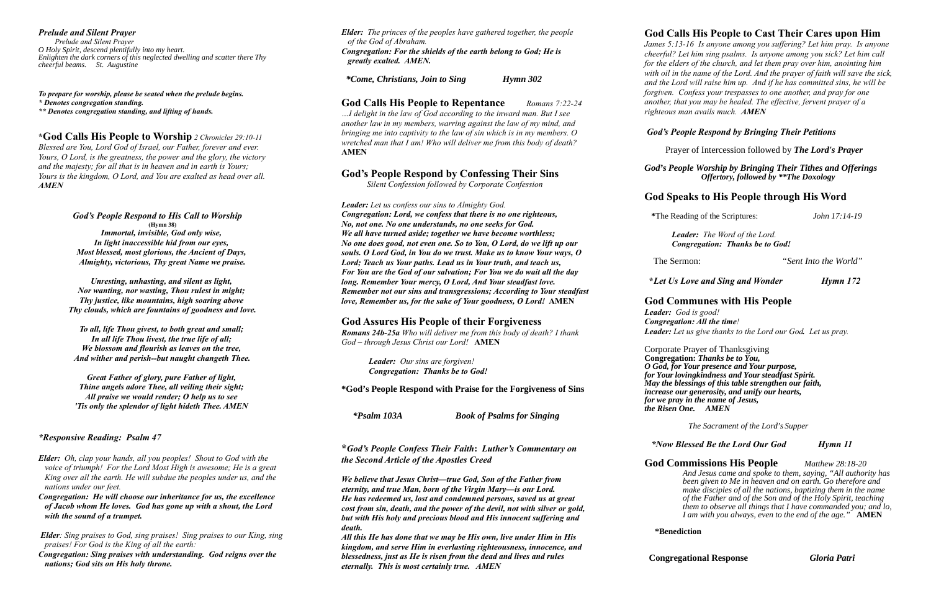## *Prelude and Silent Prayer*

*Prelude and Silent Prayer O Holy Spirit, descend plentifully into my heart. Enlighten the dark corners of this neglected dwelling and scatter there Thy cheerful beams. St. Augustine*

*To prepare for worship, please be seated when the prelude begins.*

*\* Denotes congregation standing.*

*\*\* Denotes congregation standing, and lifting of hands.* 

**\*God Calls His People to Worship** *2 Chronicles 29:10-11*

*Blessed are You, Lord God of Israel, our Father, forever and ever. Yours, O Lord, is the greatness, the power and the glory, the victory and the majesty; for all that is in heaven and in earth is Yours; Yours is the kingdom, O Lord, and You are exalted as head over all. AMEN*

> *God's People Respond to His Call to Worship* **(Hymn 38)** *Immortal, invisible, God only wise, In light inaccessible hid from our eyes, Most blessed, most glorious, the Ancient of Days, Almighty, victorious, Thy great Name we praise.*

*Unresting, unhasting, and silent as light, Nor wanting, nor wasting, Thou rulest in might; Thy justice, like mountains, high soaring above Thy clouds, which are fountains of goodness and love.*

*To all, life Thou givest, to both great and small; In all life Thou livest, the true life of all; We blossom and flourish as leaves on the tree, And wither and perish--but naught changeth Thee.*

*Great Father of glory, pure Father of light, Thine angels adore Thee, all veiling their sight; All praise we would render; O help us to see 'Tis only the splendor of light hideth Thee. AMEN* 

## *\*Responsive Reading: Psalm 47*

*Elder: Oh, clap your hands, all you peoples! Shout to God with the voice of triumph! For the Lord Most High is awesome; He is a great King over all the earth. He will subdue the peoples under us, and the nations under our feet.*

*Congregation: He will choose our inheritance for us, the excellence of Jacob whom He loves. God has gone up with a shout, the Lord with the sound of a trumpet.*

 *Elder: Sing praises to God, sing praises! Sing praises to our King, sing praises! For God is the King of all the earth:*

*Congregation: Sing praises with understanding. God reigns over the nations; God sits on His holy throne.*

*Elder: The princes of the peoples have gathered together, the people of the God of Abraham. Congregation: For the shields of the earth belong to God; He is greatly exalted. AMEN.*

 *\*Come, Christians, Join to Sing Hymn 302* 

## **God Calls His People to Repentance** *Romans 7:22-24*

*…I delight in the law of God according to the inward man. But I see another law in my members, warring against the law of my mind, and bringing me into captivity to the law of sin which is in my members. O wretched man that I am! Who will deliver me from this body of death?* **AMEN**

## **God's People Respond by Confessing Their Sins**

 *Silent Confession followed by Corporate Confession*

## *Leader: Let us confess our sins to Almighty God.*

*Congregation: Lord, we confess that there is no one righteous, No, not one. No one understands, no one seeks for God. We all have turned aside; together we have become worthless; No one does good, not even one. So to You, O Lord, do we lift up our souls. O Lord God, in You do we trust. Make us to know Your ways, O Lord; Teach us Your paths. Lead us in Your truth, and teach us, For You are the God of our salvation; For You we do wait all the day long. Remember Your mercy, O Lord, And Your steadfast love. Remember not our sins and transgressions; According to Your steadfast love, Remember us, for the sake of Your goodness, O Lord!* **AMEN**

## **God Assures His People of their Forgiveness**

*Romans 24b-25a Who will deliver me from this body of death? I thank God – through Jesus Christ our Lord!* **AMEN**

> *Leader: Our sins are forgiven! Congregation: Thanks be to God!*

**\*God's People Respond with Praise for the Forgiveness of Sins**

 *\*Psalm 103A Book of Psalms for Singing*

**\****God's People Confess Their Faith***:** *Luther's Commentary on the Second Article of the Apostles Creed*

*We believe that Jesus Christ—true God, Son of the Father from eternity, and true Man, born of the Virgin Mary—is our Lord. He has redeemed us, lost and condemned persons, saved us at great cost from sin, death, and the power of the devil, not with silver or gold, but with His holy and precious blood and His innocent suffering and death.* 

*All this He has done that we may be His own, live under Him in His kingdom, and serve Him in everlasting righteousness, innocence, and blessedness, just as He is risen from the dead and lives and rules eternally. This is most certainly true. AMEN*

## **God Calls His People to Cast Their Cares upon Him**

*James 5:13-16 Is anyone among you suffering? Let him pray. Is anyone cheerful? Let him sing psalms. Is anyone among you sick? Let him call for the elders of the church, and let them pray over him, anointing him with oil in the name of the Lord. And the prayer of faith will save the sick, and the Lord will raise him up. And if he has committed sins, he will be forgiven. Confess your trespasses to one another, and pray for one another, that you may be healed. The effective, fervent prayer of a righteous man avails much. AMEN*

## *God's People Respond by Bringing Their Petitions*

Prayer of Intercession followed by *The Lord's Prayer*

*God's People Worship by Bringing Their Tithes and Offerings Offertory, followed by \*\*The Doxology*

## **God Speaks to His People through His Word**

 **\***The Reading of the Scriptures: *John 17:14-19* 

*Leader:**The Word of the Lord. Congregation: Thanks be to God!*

The Sermon: "*Sent Into the World"*

 **\****Let Us Love and Sing and Wonder Hymn 172*

## **God Communes with His People**

*Leader: God is good! Congregation: All the time! Leader: Let us give thanks to the Lord our God. Let us pray.*

Corporate Prayer of Thanksgiving **Congregation:** *Thanks be to You, O God, for Your presence and Your purpose, for Your lovingkindness and Your steadfast Spirit. May the blessings of this table strengthen our faith, increase our generosity, and unify our hearts, for we pray in the name of Jesus, the Risen One. AMEN*

 *The Sacrament of the Lord's Supper*

## *\*Now Blessed Be the Lord Our God Hymn 11*

**God Commissions His People** *Matthew 28:18-20 And Jesus came and spoke to them, saying, "All authority has been given to Me in heaven and on earth. Go therefore and make disciples of all the nations, baptizing them in the name of the Father and of the Son and of the Holy Spirit, teaching them to observe all things that I have commanded you; and lo, I am with you always, even to the end of the age."* **AMEN**

**\*Benediction**

 **Congregational Response** *Gloria Patri*